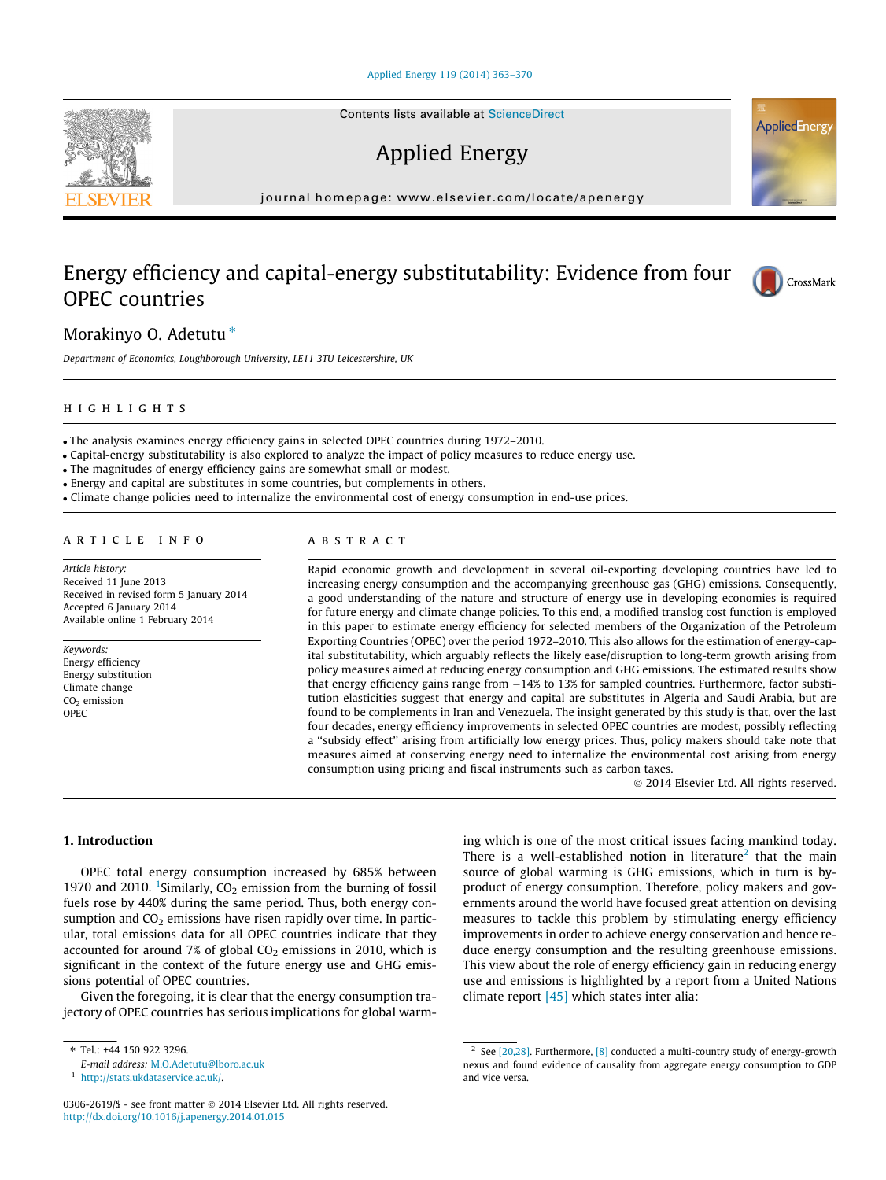#### [Applied Energy 119 \(2014\) 363–370](http://dx.doi.org/10.1016/j.apenergy.2014.01.015)

Contents lists available at [ScienceDirect](http://www.sciencedirect.com/science/journal/03062619)

Applied Energy

journal homepage: [www.elsevier.com/locate/apenergy](http://www.elsevier.com/locate/apenergy)

# Energy efficiency and capital-energy substitutability: Evidence from four OPEC countries



AppliedEnergy

Morakinyo O. Adetutu<sup>\*</sup>

Department of Economics, Loughborough University, LE11 3TU Leicestershire, UK

### highlights

- The analysis examines energy efficiency gains in selected OPEC countries during 1972–2010.

- Capital-energy substitutability is also explored to analyze the impact of policy measures to reduce energy use.

- The magnitudes of energy efficiency gains are somewhat small or modest.

- Energy and capital are substitutes in some countries, but complements in others.

- Climate change policies need to internalize the environmental cost of energy consumption in end-use prices.

# article info

Article history: Received 11 June 2013 Received in revised form 5 January 2014 Accepted 6 January 2014 Available online 1 February 2014

Keywords: Energy efficiency Energy substitution Climate change  $CO<sub>2</sub>$  emission OPEC

## **ABSTRACT**

Rapid economic growth and development in several oil-exporting developing countries have led to increasing energy consumption and the accompanying greenhouse gas (GHG) emissions. Consequently, a good understanding of the nature and structure of energy use in developing economies is required for future energy and climate change policies. To this end, a modified translog cost function is employed in this paper to estimate energy efficiency for selected members of the Organization of the Petroleum Exporting Countries (OPEC) over the period 1972–2010. This also allows for the estimation of energy-capital substitutability, which arguably reflects the likely ease/disruption to long-term growth arising from policy measures aimed at reducing energy consumption and GHG emissions. The estimated results show that energy efficiency gains range from  $-14%$  to 13% for sampled countries. Furthermore, factor substitution elasticities suggest that energy and capital are substitutes in Algeria and Saudi Arabia, but are found to be complements in Iran and Venezuela. The insight generated by this study is that, over the last four decades, energy efficiency improvements in selected OPEC countries are modest, possibly reflecting a ''subsidy effect'' arising from artificially low energy prices. Thus, policy makers should take note that measures aimed at conserving energy need to internalize the environmental cost arising from energy consumption using pricing and fiscal instruments such as carbon taxes.

- 2014 Elsevier Ltd. All rights reserved.

### 1. Introduction

OPEC total energy consumption increased by 685% between 1970 and 2010. <sup>1</sup>Similarly,  $CO<sub>2</sub>$  emission from the burning of fossil fuels rose by 440% during the same period. Thus, both energy consumption and  $CO<sub>2</sub>$  emissions have risen rapidly over time. In particular, total emissions data for all OPEC countries indicate that they accounted for around 7% of global  $CO<sub>2</sub>$  emissions in 2010, which is significant in the context of the future energy use and GHG emissions potential of OPEC countries.

Given the foregoing, it is clear that the energy consumption trajectory of OPEC countries has serious implications for global warm-

E-mail address: [M.O.Adetutu@lboro.ac.uk](mailto:M.O.Adetutu@lboro.ac.uk)

ing which is one of the most critical issues facing mankind today. There is a well-established notion in literature<sup>2</sup> that the main source of global warming is GHG emissions, which in turn is byproduct of energy consumption. Therefore, policy makers and governments around the world have focused great attention on devising measures to tackle this problem by stimulating energy efficiency improvements in order to achieve energy conservation and hence reduce energy consumption and the resulting greenhouse emissions. This view about the role of energy efficiency gain in reducing energy use and emissions is highlighted by a report from a United Nations climate report [\[45\]](#page--1-0) which states inter alia:



<sup>⇑</sup> Tel.: +44 150 922 3296.

<sup>1</sup> [http://stats.ukdataservice.ac.uk/.](http://www.stats.ukdataservice.ac.uk/)

<sup>0306-2619/\$ -</sup> see front matter © 2014 Elsevier Ltd. All rights reserved. <http://dx.doi.org/10.1016/j.apenergy.2014.01.015>

<sup>&</sup>lt;sup>2</sup> See [\[20,28\]](#page--1-0). Furthermore, [\[8\]](#page--1-0) conducted a multi-country study of energy-growth nexus and found evidence of causality from aggregate energy consumption to GDP and vice versa.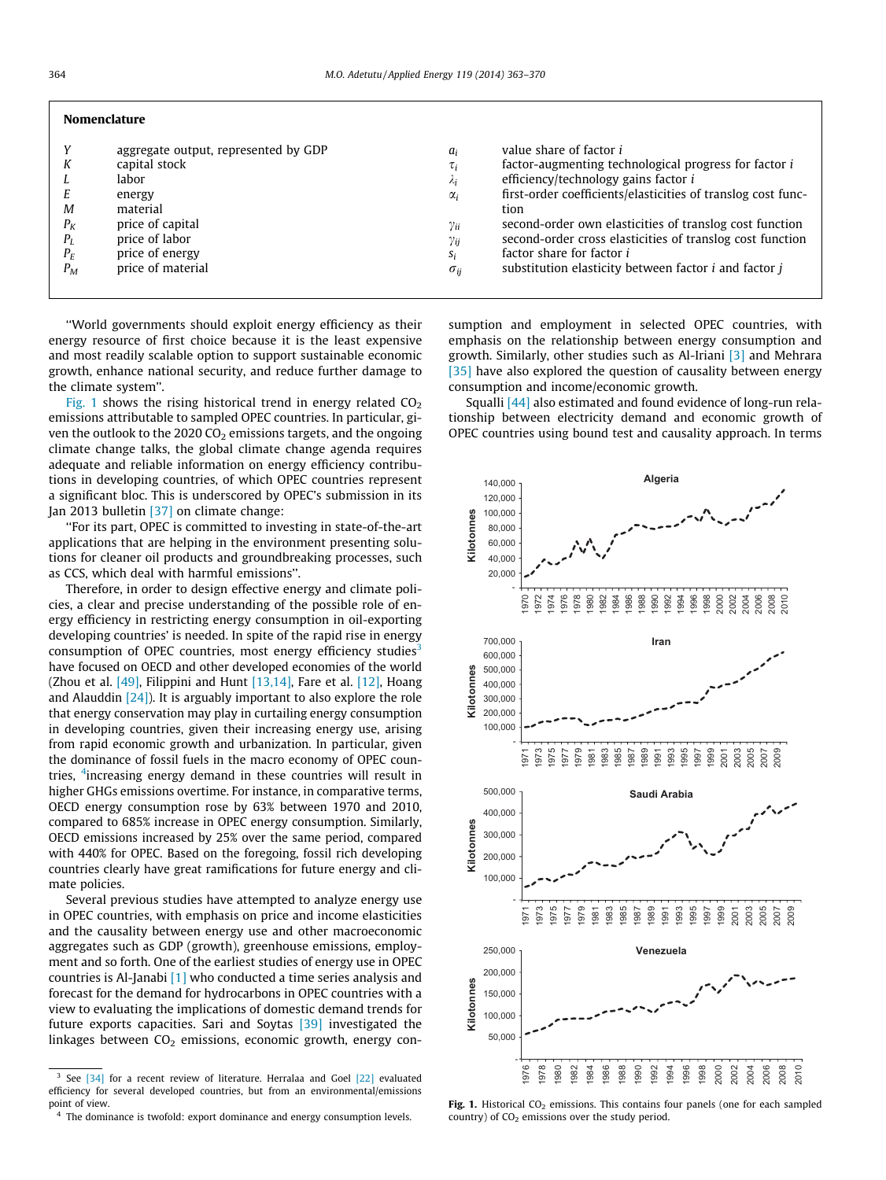| <b>Nomenclature</b>                        |                                                                                                                                                                    |                                                                                                             |                                                                                                                                                                                                                                                                                                                                                                                                                              |
|--------------------------------------------|--------------------------------------------------------------------------------------------------------------------------------------------------------------------|-------------------------------------------------------------------------------------------------------------|------------------------------------------------------------------------------------------------------------------------------------------------------------------------------------------------------------------------------------------------------------------------------------------------------------------------------------------------------------------------------------------------------------------------------|
| Κ<br>M<br>$P_K$<br>$P_I$<br>$P_E$<br>$P_M$ | aggregate output, represented by GDP<br>capital stock<br>labor<br>energy<br>material<br>price of capital<br>price of labor<br>price of energy<br>price of material | $a_i$<br>$\tau_i$<br>$\mathcal{N}_i$<br>$\alpha_i$<br>$\gamma_{ii}$<br>$\gamma_{ij}$<br>Si<br>$\sigma_{ii}$ | value share of factor i<br>factor-augmenting technological progress for factor i<br>efficiency/technology gains factor i<br>first-order coefficients/elasticities of translog cost func-<br>tion<br>second-order own elasticities of translog cost function<br>second-order cross elasticities of translog cost function<br>factor share for factor i<br>substitution elasticity between factor <i>i</i> and factor <i>j</i> |
|                                            |                                                                                                                                                                    |                                                                                                             |                                                                                                                                                                                                                                                                                                                                                                                                                              |

''World governments should exploit energy efficiency as their energy resource of first choice because it is the least expensive and most readily scalable option to support sustainable economic growth, enhance national security, and reduce further damage to the climate system''.

Fig. 1 shows the rising historical trend in energy related  $CO<sub>2</sub>$ emissions attributable to sampled OPEC countries. In particular, given the outlook to the 2020  $CO<sub>2</sub>$  emissions targets, and the ongoing climate change talks, the global climate change agenda requires adequate and reliable information on energy efficiency contributions in developing countries, of which OPEC countries represent a significant bloc. This is underscored by OPEC's submission in its Jan 2013 bulletin [\[37\]](#page--1-0) on climate change:

''For its part, OPEC is committed to investing in state-of-the-art applications that are helping in the environment presenting solutions for cleaner oil products and groundbreaking processes, such as CCS, which deal with harmful emissions''.

Therefore, in order to design effective energy and climate policies, a clear and precise understanding of the possible role of energy efficiency in restricting energy consumption in oil-exporting developing countries' is needed. In spite of the rapid rise in energy consumption of OPEC countries, most energy efficiency studies<sup>3</sup> have focused on OECD and other developed economies of the world (Zhou et al.  $[49]$ , Filippini and Hunt  $[13,14]$ , Fare et al.  $[12]$ , Hoang and Alauddin  $[24]$ ). It is arguably important to also explore the role that energy conservation may play in curtailing energy consumption in developing countries, given their increasing energy use, arising from rapid economic growth and urbanization. In particular, given the dominance of fossil fuels in the macro economy of OPEC countries, <sup>4</sup>increasing energy demand in these countries will result in higher GHGs emissions overtime. For instance, in comparative terms, OECD energy consumption rose by 63% between 1970 and 2010, compared to 685% increase in OPEC energy consumption. Similarly, OECD emissions increased by 25% over the same period, compared with 440% for OPEC. Based on the foregoing, fossil rich developing countries clearly have great ramifications for future energy and climate policies.

Several previous studies have attempted to analyze energy use in OPEC countries, with emphasis on price and income elasticities and the causality between energy use and other macroeconomic aggregates such as GDP (growth), greenhouse emissions, employment and so forth. One of the earliest studies of energy use in OPEC countries is Al-Janabi [\[1\]](#page--1-0) who conducted a time series analysis and forecast for the demand for hydrocarbons in OPEC countries with a view to evaluating the implications of domestic demand trends for future exports capacities. Sari and Soytas [\[39\]](#page--1-0) investigated the linkages between  $CO<sub>2</sub>$  emissions, economic growth, energy consumption and employment in selected OPEC countries, with emphasis on the relationship between energy consumption and growth. Similarly, other studies such as Al-Iriani [\[3\]](#page--1-0) and Mehrara [\[35\]](#page--1-0) have also explored the question of causality between energy consumption and income/economic growth.

Squalli [\[44\]](#page--1-0) also estimated and found evidence of long-run relationship between electricity demand and economic growth of OPEC countries using bound test and causality approach. In terms



Fig. 1. Historical  $CO<sub>2</sub>$  emissions. This contains four panels (one for each sampled country) of  $CO<sub>2</sub>$  emissions over the study period.

<sup>&</sup>lt;sup>3</sup> See [\[34\]](#page--1-0) for a recent review of literature. Herralaa and Goel [\[22\]](#page--1-0) evaluated efficiency for several developed countries, but from an environmental/emissions point of view.

<sup>&</sup>lt;sup>4</sup> The dominance is twofold: export dominance and energy consumption levels.